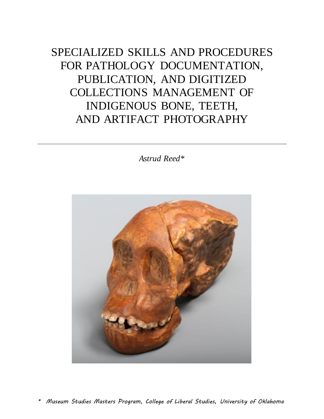SPECIALIZED SKILLS AND PROCEDURES FOR PATHOLOGY DOCUMENTATION, PUBLICATION, AND DIGITIZED COLLECTIONS MANAGEMENT OF INDIGENOUS BONE, TEETH, AND ARTIFACT PHOTOGRAPHY

*Astrud Reed\**



*\* Museum Studies Masters Program, College of Liberal Studies, University of Oklahoma*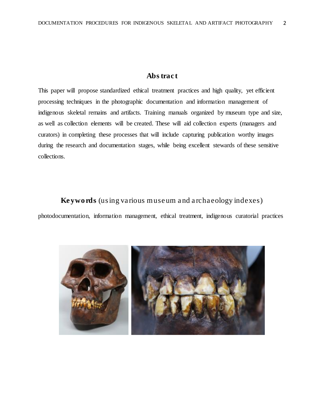## **Abstract**

This paper will propose standardized ethical treatment practices and high quality, yet efficient processing techniques in the photographic documentation and information management of indigenous skeletal remains and artifacts. Training manuals organized by museum type and size, as well as collection elements will be created. These will aid collection experts (managers and curators) in completing these processes that will include capturing publication worthy images during the research and documentation stages, while being excellent stewards of these sensitive collections.

## **Keywords**(*using various museum and archaeology indexes)*

photodocumentation, information management, ethical treatment, indigenous curatorial practices

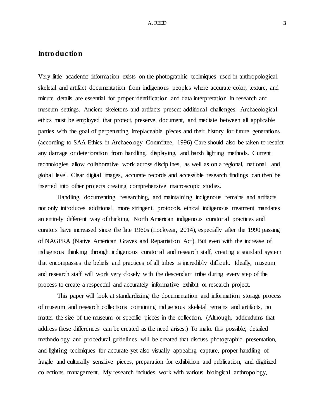## **Introduction**

Very little academic information exists on the photographic techniques used in anthropological skeletal and artifact documentation from indigenous peoples where accurate color, texture, and minute details are essential for proper identification and data interpretation in research and museum settings. Ancient skeletons and artifacts present additional challenges. Archaeological ethics must be employed that protect, preserve, document, and mediate between all applicable parties with the goal of perpetuating irreplaceable pieces and their history for future generations. (according to SAA Ethics in Archaeology Committee, 1996) Care should also be taken to restrict any damage or deterioration from handling, displaying, and harsh lighting methods. Current technologies allow collaborative work across disciplines, as well as on a regional, national, and global level. Clear digital images, accurate records and accessible research findings can then be inserted into other projects creating comprehensive macroscopic studies.

Handling, documenting, researching, and maintaining indigenous remains and artifacts not only introduces additional, more stringent, protocols, ethical indigenous treatment mandates an entirely different way of thinking. North American indigenous curatorial practices and curators have increased since the late 1960s (Lockyear, 2014), especially after the 1990 passing of NAGPRA (Native American Graves and Repatriation Act). But even with the increase of indigenous thinking through indigenous curatorial and research staff, creating a standard system that encompasses the beliefs and practices of all tribes is incredibly difficult. Ideally, museum and research staff will work very closely with the descendant tribe during every step of the process to create a respectful and accurately informative exhibit or research project.

This paper will look at standardizing the documentation and information storage process of museum and research collections containing indigenous skeletal remains and artifacts, no matter the size of the museum or specific pieces in the collection. (Although, addendums that address these differences can be created as the need arises.) To make this possible, detailed methodology and procedural guidelines will be created that discuss photographic presentation, and lighting techniques for accurate yet also visually appealing capture, proper handling of fragile and culturally sensitive pieces, preparation for exhibition and publication, and digitized collections management. My research includes work with various biological anthropology,